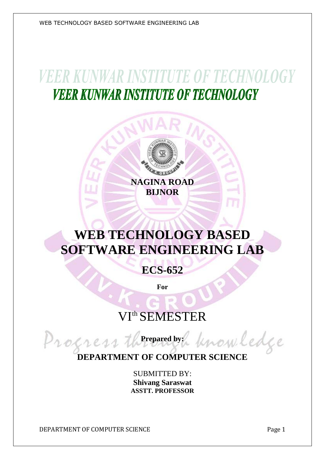WEB TECHNOLOGY BASED SOFTWARE ENGINEERING LAB

# **VEER KUNWAR INSTITUTE OF TECHNOLOGY VEER KUNWAR INSTITUTE OF TECHNOLOGY**



## **WEB TECHNOLOGY BASED SOFTWARE ENGINEERING LAB**

**ECS-652**

**For**

### VIth SEMESTER

**Prepared by:**

Progre **DEPARTMENT OF COMPUTER SCIENCE**

> SUBMITTED BY: **Shivang Saraswat ASSTT. PROFESSOR**

DEPARTMENT OF COMPUTER SCIENCE **Page 1** 

now ledge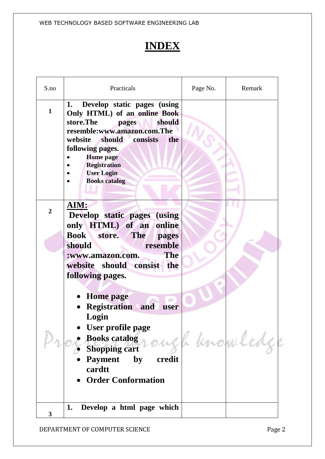WEB TECHNOLOGY BASED SOFTWARE ENGINEERING LAB

#### **INDEX**

| S.no           | Practicals                                                                                                                                                                                                                                                                     | Page No. | Remark |
|----------------|--------------------------------------------------------------------------------------------------------------------------------------------------------------------------------------------------------------------------------------------------------------------------------|----------|--------|
| $\mathbf{1}$   | Develop static pages (using<br>1.<br>Only HTML) of an online Book<br>store.The<br>should<br>pages<br>resemble:www.amazon.com.The<br>website should consists<br>the<br>following pages.<br><b>Home</b> page<br><b>Registration</b><br><b>User Login</b><br><b>Books</b> catalog |          |        |
| $\overline{2}$ | AIM:<br>Develop static pages (using<br>only HTML) of an online<br>Book store.<br><b>The</b><br>pages                                                                                                                                                                           |          |        |
|                | resemble<br>should<br><b>The</b><br>:www.amazon.com.<br>website should consist the<br>following pages.<br><b>Home</b> page                                                                                                                                                     |          |        |
|                | <b>Registration</b> and<br>user<br>Login<br>User profile page<br>Books catalog rough knowled<br>credit<br><b>Payment</b><br>$\mathbf{by}$<br>cardtt<br><b>Order Conformation</b>                                                                                               |          |        |
| 3              | Develop a html page which<br>1.                                                                                                                                                                                                                                                |          |        |

DEPARTMENT OF COMPUTER SCIENCE **Page 2**